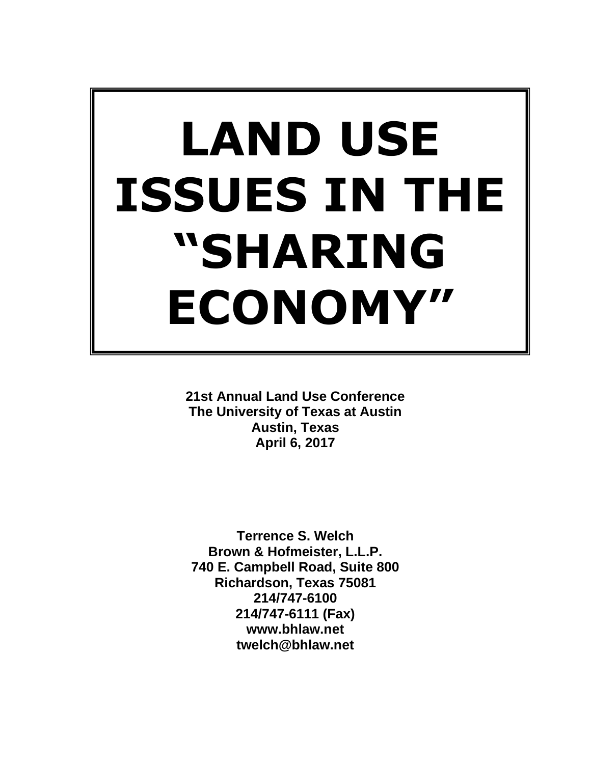# **LAND USE ISSUES IN THE "SHARING ECONOMY"**

**21st Annual Land Use Conference The University of Texas at Austin Austin, Texas April 6, 2017**

**Terrence S. Welch Brown & Hofmeister, L.L.P. 740 E. Campbell Road, Suite 800 Richardson, Texas 75081 214/747-6100 214/747-6111 (Fax) www.bhlaw.net twelch@bhlaw.net**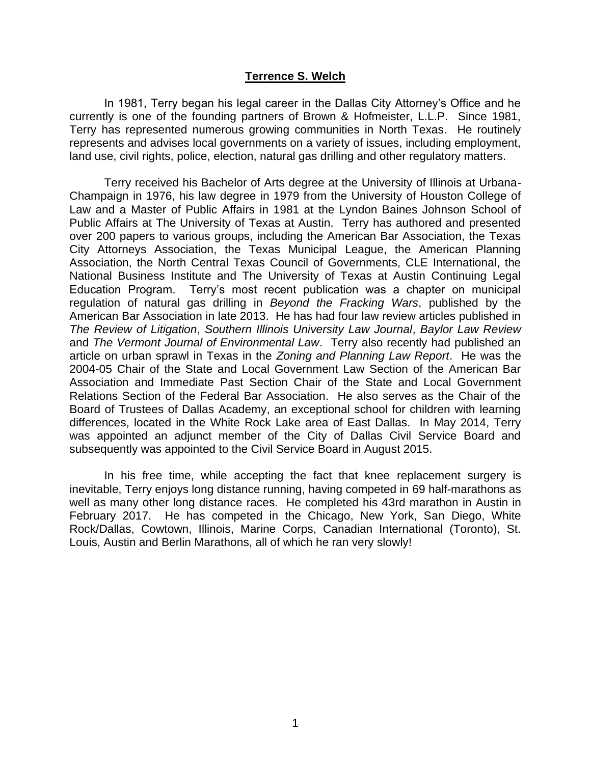#### **Terrence S. Welch**

In 1981, Terry began his legal career in the Dallas City Attorney's Office and he currently is one of the founding partners of Brown & Hofmeister, L.L.P. Since 1981, Terry has represented numerous growing communities in North Texas. He routinely represents and advises local governments on a variety of issues, including employment, land use, civil rights, police, election, natural gas drilling and other regulatory matters.

Terry received his Bachelor of Arts degree at the University of Illinois at Urbana-Champaign in 1976, his law degree in 1979 from the University of Houston College of Law and a Master of Public Affairs in 1981 at the Lyndon Baines Johnson School of Public Affairs at The University of Texas at Austin. Terry has authored and presented over 200 papers to various groups, including the American Bar Association, the Texas City Attorneys Association, the Texas Municipal League, the American Planning Association, the North Central Texas Council of Governments, CLE International, the National Business Institute and The University of Texas at Austin Continuing Legal Education Program. Terry's most recent publication was a chapter on municipal regulation of natural gas drilling in *Beyond the Fracking Wars*, published by the American Bar Association in late 2013. He has had four law review articles published in *The Review of Litigation*, *Southern Illinois University Law Journal*, *Baylor Law Review* and *The Vermont Journal of Environmental Law*. Terry also recently had published an article on urban sprawl in Texas in the *Zoning and Planning Law Report*. He was the 2004-05 Chair of the State and Local Government Law Section of the American Bar Association and Immediate Past Section Chair of the State and Local Government Relations Section of the Federal Bar Association. He also serves as the Chair of the Board of Trustees of Dallas Academy, an exceptional school for children with learning differences, located in the White Rock Lake area of East Dallas. In May 2014, Terry was appointed an adjunct member of the City of Dallas Civil Service Board and subsequently was appointed to the Civil Service Board in August 2015.

In his free time, while accepting the fact that knee replacement surgery is inevitable, Terry enjoys long distance running, having competed in 69 half-marathons as well as many other long distance races. He completed his 43rd marathon in Austin in February 2017. He has competed in the Chicago, New York, San Diego, White Rock/Dallas, Cowtown, Illinois, Marine Corps, Canadian International (Toronto), St. Louis, Austin and Berlin Marathons, all of which he ran very slowly!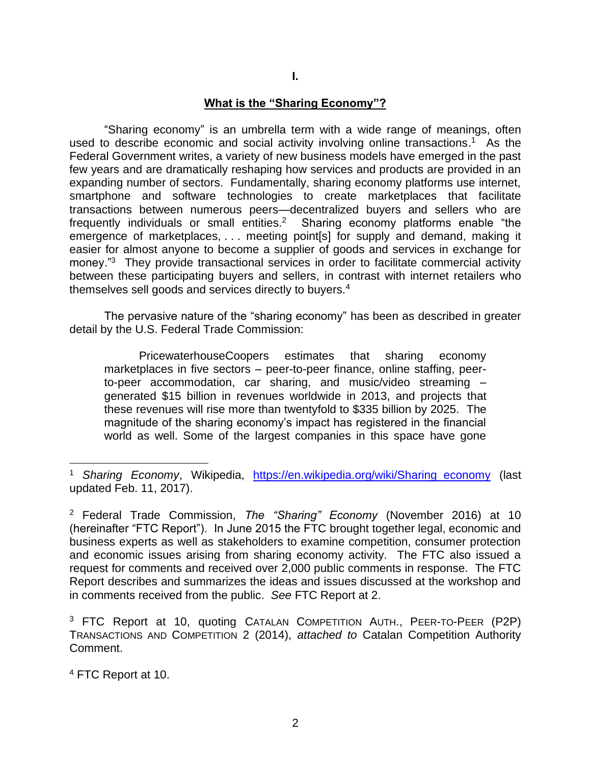#### **I.**

#### **What is the "Sharing Economy"?**

"Sharing economy" is an umbrella term with a wide range of meanings, often used to describe economic and social activity involving online transactions.<sup>1</sup> As the Federal Government writes, a variety of new business models have emerged in the past few years and are dramatically reshaping how services and products are provided in an expanding number of sectors. Fundamentally, sharing economy platforms use internet, smartphone and software technologies to create marketplaces that facilitate transactions between numerous peers—decentralized buyers and sellers who are frequently individuals or small entities.<sup>2</sup> Sharing economy platforms enable "the emergence of marketplaces, . . . meeting point[s] for supply and demand, making it easier for almost anyone to become a supplier of goods and services in exchange for money."<sup>3</sup> They provide transactional services in order to facilitate commercial activity between these participating buyers and sellers, in contrast with internet retailers who themselves sell goods and services directly to buyers.<sup>4</sup>

The pervasive nature of the "sharing economy" has been as described in greater detail by the U.S. Federal Trade Commission:

PricewaterhouseCoopers estimates that sharing economy marketplaces in five sectors – peer-to-peer finance, online staffing, peerto-peer accommodation, car sharing, and music/video streaming – generated \$15 billion in revenues worldwide in 2013, and projects that these revenues will rise more than twentyfold to \$335 billion by 2025. The magnitude of the sharing economy's impact has registered in the financial world as well. Some of the largest companies in this space have gone

<sup>&</sup>lt;sup>1</sup> Sharing Economy, Wikipedia, [https://en.wikipedia.org/wiki/Sharing\\_economy](https://en.wikipedia.org/wiki/Sharing_economy) (last updated Feb. 11, 2017).

<sup>2</sup> Federal Trade Commission, *The "Sharing" Economy* (November 2016) at 10 (hereinafter "FTC Report"). In June 2015 the FTC brought together legal, economic and business experts as well as stakeholders to examine competition, consumer protection and economic issues arising from sharing economy activity. The FTC also issued a request for comments and received over 2,000 public comments in response. The FTC Report describes and summarizes the ideas and issues discussed at the workshop and in comments received from the public. *See* FTC Report at 2.

<sup>&</sup>lt;sup>3</sup> FTC Report at 10, quoting CATALAN COMPETITION AUTH., PEER-TO-PEER (P2P) TRANSACTIONS AND COMPETITION 2 (2014), *attached to* Catalan Competition Authority Comment.

<sup>4</sup> FTC Report at 10.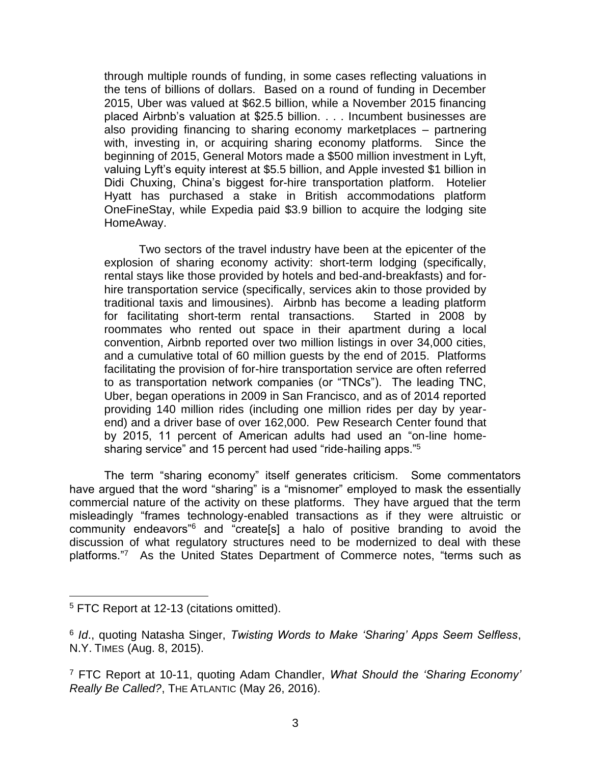through multiple rounds of funding, in some cases reflecting valuations in the tens of billions of dollars. Based on a round of funding in December 2015, Uber was valued at \$62.5 billion, while a November 2015 financing placed Airbnb's valuation at \$25.5 billion. . . . Incumbent businesses are also providing financing to sharing economy marketplaces – partnering with, investing in, or acquiring sharing economy platforms. Since the beginning of 2015, General Motors made a \$500 million investment in Lyft, valuing Lyft's equity interest at \$5.5 billion, and Apple invested \$1 billion in Didi Chuxing, China's biggest for-hire transportation platform. Hotelier Hyatt has purchased a stake in British accommodations platform OneFineStay, while Expedia paid \$3.9 billion to acquire the lodging site HomeAway.

Two sectors of the travel industry have been at the epicenter of the explosion of sharing economy activity: short-term lodging (specifically, rental stays like those provided by hotels and bed-and-breakfasts) and forhire transportation service (specifically, services akin to those provided by traditional taxis and limousines). Airbnb has become a leading platform for facilitating short-term rental transactions. Started in 2008 by roommates who rented out space in their apartment during a local convention, Airbnb reported over two million listings in over 34,000 cities, and a cumulative total of 60 million guests by the end of 2015. Platforms facilitating the provision of for-hire transportation service are often referred to as transportation network companies (or "TNCs"). The leading TNC, Uber, began operations in 2009 in San Francisco, and as of 2014 reported providing 140 million rides (including one million rides per day by yearend) and a driver base of over 162,000. Pew Research Center found that by 2015, 11 percent of American adults had used an "on-line homesharing service" and 15 percent had used "ride-hailing apps."<sup>5</sup>

The term "sharing economy" itself generates criticism. Some commentators have argued that the word "sharing" is a "misnomer" employed to mask the essentially commercial nature of the activity on these platforms. They have argued that the term misleadingly "frames technology-enabled transactions as if they were altruistic or community endeavors"<sup>6</sup> and "create[s] a halo of positive branding to avoid the discussion of what regulatory structures need to be modernized to deal with these platforms."<sup>7</sup> As the United States Department of Commerce notes, "terms such as

<sup>&</sup>lt;sup>5</sup> FTC Report at 12-13 (citations omitted).

<sup>6</sup> *Id*., quoting Natasha Singer, *Twisting Words to Make 'Sharing' Apps Seem Selfless*, N.Y. TIMES (Aug. 8, 2015).

<sup>7</sup> FTC Report at 10-11, quoting Adam Chandler, *What Should the 'Sharing Economy' Really Be Called?*, THE ATLANTIC (May 26, 2016).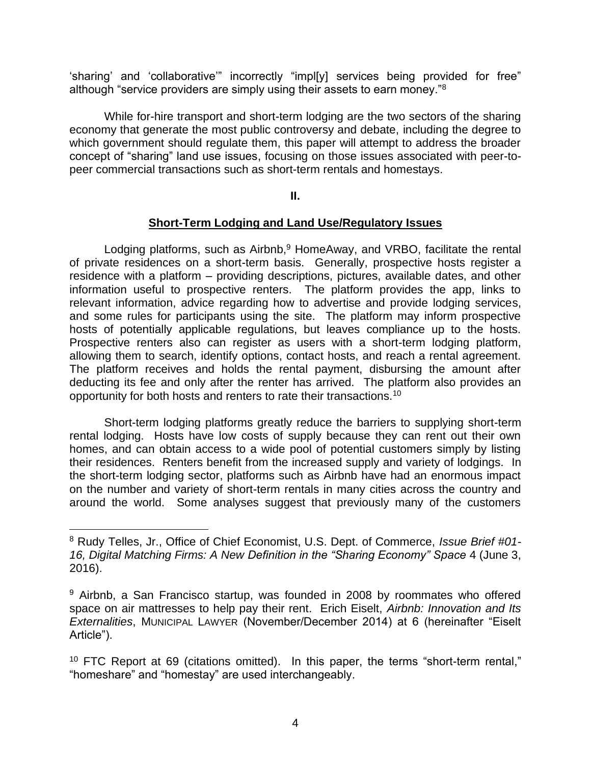'sharing' and 'collaborative'" incorrectly "impl[y] services being provided for free" although "service providers are simply using their assets to earn money."<sup>8</sup>

While for-hire transport and short-term lodging are the two sectors of the sharing economy that generate the most public controversy and debate, including the degree to which government should regulate them, this paper will attempt to address the broader concept of "sharing" land use issues, focusing on those issues associated with peer-topeer commercial transactions such as short-term rentals and homestays.

#### **II.**

#### **Short-Term Lodging and Land Use/Regulatory Issues**

Lodging platforms, such as Airbnb, $9$  HomeAway, and VRBO, facilitate the rental of private residences on a short-term basis. Generally, prospective hosts register a residence with a platform – providing descriptions, pictures, available dates, and other information useful to prospective renters. The platform provides the app, links to relevant information, advice regarding how to advertise and provide lodging services, and some rules for participants using the site. The platform may inform prospective hosts of potentially applicable regulations, but leaves compliance up to the hosts. Prospective renters also can register as users with a short-term lodging platform, allowing them to search, identify options, contact hosts, and reach a rental agreement. The platform receives and holds the rental payment, disbursing the amount after deducting its fee and only after the renter has arrived. The platform also provides an opportunity for both hosts and renters to rate their transactions.<sup>10</sup>

Short-term lodging platforms greatly reduce the barriers to supplying short-term rental lodging. Hosts have low costs of supply because they can rent out their own homes, and can obtain access to a wide pool of potential customers simply by listing their residences. Renters benefit from the increased supply and variety of lodgings. In the short-term lodging sector, platforms such as Airbnb have had an enormous impact on the number and variety of short-term rentals in many cities across the country and around the world. Some analyses suggest that previously many of the customers

<sup>8</sup> Rudy Telles, Jr., Office of Chief Economist, U.S. Dept. of Commerce, *Issue Brief #01- 16, Digital Matching Firms: A New Definition in the "Sharing Economy" Space* 4 (June 3, 2016).

<sup>&</sup>lt;sup>9</sup> Airbnb, a San Francisco startup, was founded in 2008 by roommates who offered space on air mattresses to help pay their rent. Erich Eiselt, *Airbnb: Innovation and Its Externalities*, MUNICIPAL LAWYER (November/December 2014) at 6 (hereinafter "Eiselt Article").

 $10$  FTC Report at 69 (citations omitted). In this paper, the terms "short-term rental," "homeshare" and "homestay" are used interchangeably.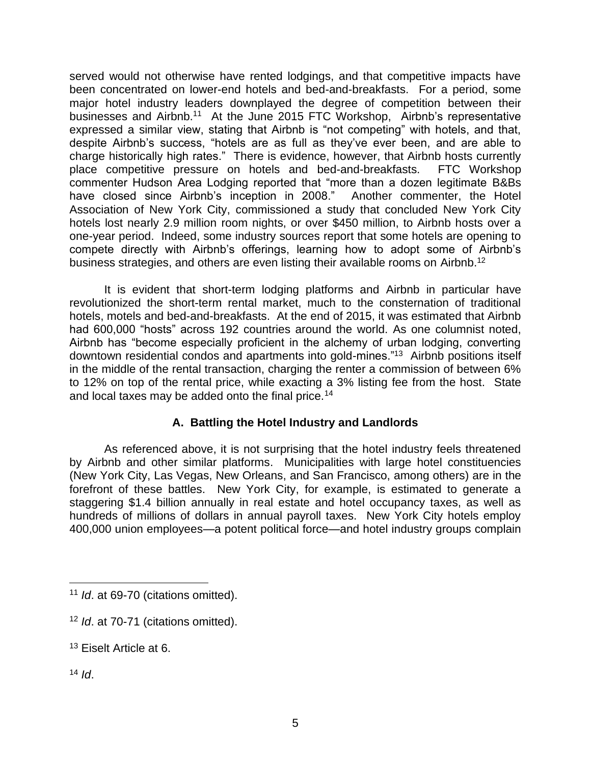served would not otherwise have rented lodgings, and that competitive impacts have been concentrated on lower-end hotels and bed-and-breakfasts. For a period, some major hotel industry leaders downplayed the degree of competition between their businesses and Airbnb.<sup>11</sup> At the June 2015 FTC Workshop, Airbnb's representative expressed a similar view, stating that Airbnb is "not competing" with hotels, and that, despite Airbnb's success, "hotels are as full as they've ever been, and are able to charge historically high rates." There is evidence, however, that Airbnb hosts currently place competitive pressure on hotels and bed-and-breakfasts. FTC Workshop commenter Hudson Area Lodging reported that "more than a dozen legitimate B&Bs have closed since Airbnb's inception in 2008." Another commenter, the Hotel Association of New York City, commissioned a study that concluded New York City hotels lost nearly 2.9 million room nights, or over \$450 million, to Airbnb hosts over a one-year period. Indeed, some industry sources report that some hotels are opening to compete directly with Airbnb's offerings, learning how to adopt some of Airbnb's business strategies, and others are even listing their available rooms on Airbnb.<sup>12</sup>

It is evident that short-term lodging platforms and Airbnb in particular have revolutionized the short-term rental market, much to the consternation of traditional hotels, motels and bed-and-breakfasts. At the end of 2015, it was estimated that Airbnb had 600,000 "hosts" across 192 countries around the world. As one columnist noted, Airbnb has "become especially proficient in the alchemy of urban lodging, converting downtown residential condos and apartments into gold-mines."<sup>13</sup> Airbnb positions itself in the middle of the rental transaction, charging the renter a commission of between 6% to 12% on top of the rental price, while exacting a 3% listing fee from the host. State and local taxes may be added onto the final price.<sup>14</sup>

# **A. Battling the Hotel Industry and Landlords**

As referenced above, it is not surprising that the hotel industry feels threatened by Airbnb and other similar platforms. Municipalities with large hotel constituencies (New York City, Las Vegas, New Orleans, and San Francisco, among others) are in the forefront of these battles. New York City, for example, is estimated to generate a staggering \$1.4 billion annually in real estate and hotel occupancy taxes, as well as hundreds of millions of dollars in annual payroll taxes. New York City hotels employ 400,000 union employees—a potent political force—and hotel industry groups complain

<sup>11</sup> *Id*. at 69-70 (citations omitted).

<sup>&</sup>lt;sup>12</sup> *Id.* at 70-71 (citations omitted).

<sup>13</sup> Eiselt Article at 6.

 $14$  *Id.*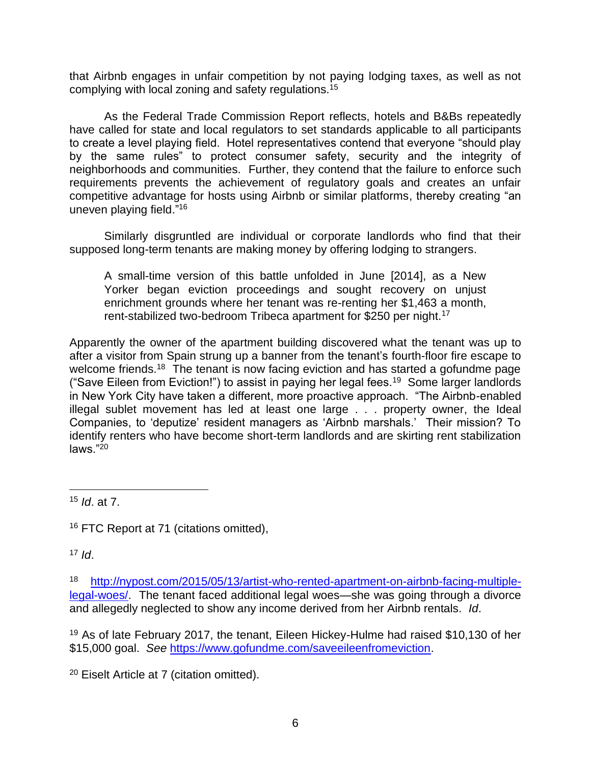that Airbnb engages in unfair competition by not paying lodging taxes, as well as not complying with local zoning and safety regulations.<sup>15</sup>

As the Federal Trade Commission Report reflects, hotels and B&Bs repeatedly have called for state and local regulators to set standards applicable to all participants to create a level playing field. Hotel representatives contend that everyone "should play by the same rules" to protect consumer safety, security and the integrity of neighborhoods and communities. Further, they contend that the failure to enforce such requirements prevents the achievement of regulatory goals and creates an unfair competitive advantage for hosts using Airbnb or similar platforms, thereby creating "an uneven playing field." 16

Similarly disgruntled are individual or corporate landlords who find that their supposed long-term tenants are making money by offering lodging to strangers.

A small-time version of this battle unfolded in June [2014], as a New Yorker began eviction proceedings and sought recovery on unjust enrichment grounds where her tenant was re-renting her \$1,463 a month, rent-stabilized two-bedroom Tribeca apartment for \$250 per night.<sup>17</sup>

Apparently the owner of the apartment building discovered what the tenant was up to after a visitor from Spain strung up a banner from the tenant's fourth-floor fire escape to welcome friends.<sup>18</sup> The tenant is now facing eviction and has started a gofundme page ("Save Eileen from Eviction!") to assist in paying her legal fees.<sup>19</sup> Some larger landlords in New York City have taken a different, more proactive approach. "The Airbnb-enabled illegal sublet movement has led at least one large . . . property owner, the Ideal Companies, to 'deputize' resident managers as 'Airbnb marshals.' Their mission? To identify renters who have become short-term landlords and are skirting rent stabilization laws."<sup>20</sup>

<sup>15</sup> *Id*. at 7.

<sup>16</sup> FTC Report at 71 (citations omitted),

 $17$  *Id.* 

<sup>18</sup> [http://nypost.com/2015/05/13/artist-who-rented-apartment-on-airbnb-facing-multiple](http://nypost.com/2015/05/13/artist-who-rented-apartment-on-airbnb-facing-multiple-legal-woes/)[legal-woes/.](http://nypost.com/2015/05/13/artist-who-rented-apartment-on-airbnb-facing-multiple-legal-woes/) The tenant faced additional legal woes—she was going through a divorce and allegedly neglected to show any income derived from her Airbnb rentals. *Id*.

<sup>19</sup> As of late February 2017, the tenant, Eileen Hickey-Hulme had raised \$10,130 of her \$15,000 goal. *See* [https://www.gofundme.com/saveeileenfromeviction.](https://www.gofundme.com/saveeileenfromeviction)

<sup>20</sup> Eiselt Article at 7 (citation omitted).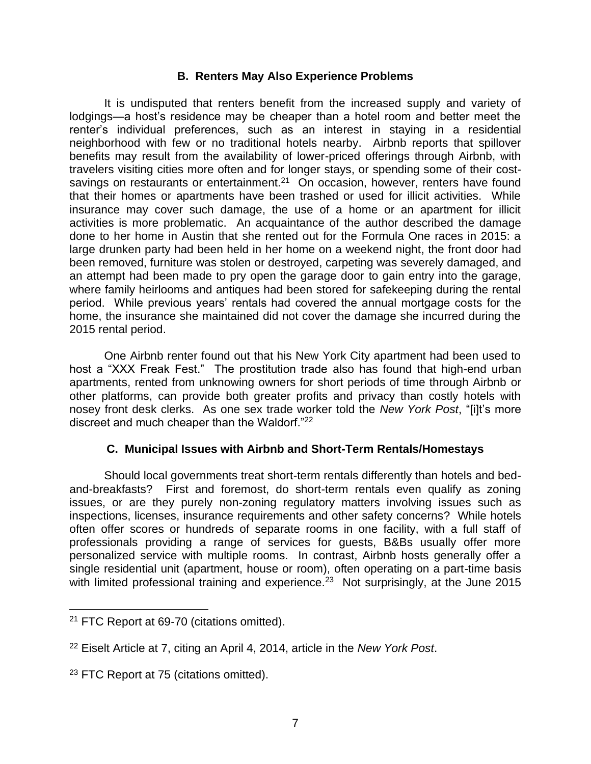# **B. Renters May Also Experience Problems**

It is undisputed that renters benefit from the increased supply and variety of lodgings—a host's residence may be cheaper than a hotel room and better meet the renter's individual preferences, such as an interest in staying in a residential neighborhood with few or no traditional hotels nearby. Airbnb reports that spillover benefits may result from the availability of lower-priced offerings through Airbnb, with travelers visiting cities more often and for longer stays, or spending some of their costsavings on restaurants or entertainment.<sup>21</sup> On occasion, however, renters have found that their homes or apartments have been trashed or used for illicit activities. While insurance may cover such damage, the use of a home or an apartment for illicit activities is more problematic. An acquaintance of the author described the damage done to her home in Austin that she rented out for the Formula One races in 2015: a large drunken party had been held in her home on a weekend night, the front door had been removed, furniture was stolen or destroyed, carpeting was severely damaged, and an attempt had been made to pry open the garage door to gain entry into the garage, where family heirlooms and antiques had been stored for safekeeping during the rental period. While previous years' rentals had covered the annual mortgage costs for the home, the insurance she maintained did not cover the damage she incurred during the 2015 rental period.

One Airbnb renter found out that his New York City apartment had been used to host a "XXX Freak Fest." The prostitution trade also has found that high-end urban apartments, rented from unknowing owners for short periods of time through Airbnb or other platforms, can provide both greater profits and privacy than costly hotels with nosey front desk clerks. As one sex trade worker told the *New York Post*, "[i]t's more discreet and much cheaper than the Waldorf."<sup>22</sup>

# **C. Municipal Issues with Airbnb and Short-Term Rentals/Homestays**

Should local governments treat short-term rentals differently than hotels and bedand-breakfasts? First and foremost, do short-term rentals even qualify as zoning issues, or are they purely non-zoning regulatory matters involving issues such as inspections, licenses, insurance requirements and other safety concerns? While hotels often offer scores or hundreds of separate rooms in one facility, with a full staff of professionals providing a range of services for guests, B&Bs usually offer more personalized service with multiple rooms. In contrast, Airbnb hosts generally offer a single residential unit (apartment, house or room), often operating on a part-time basis with limited professional training and experience.<sup>23</sup> Not surprisingly, at the June 2015

<sup>&</sup>lt;sup>21</sup> FTC Report at 69-70 (citations omitted).

<sup>22</sup> Eiselt Article at 7, citing an April 4, 2014, article in the *New York Post*.

<sup>&</sup>lt;sup>23</sup> FTC Report at 75 (citations omitted).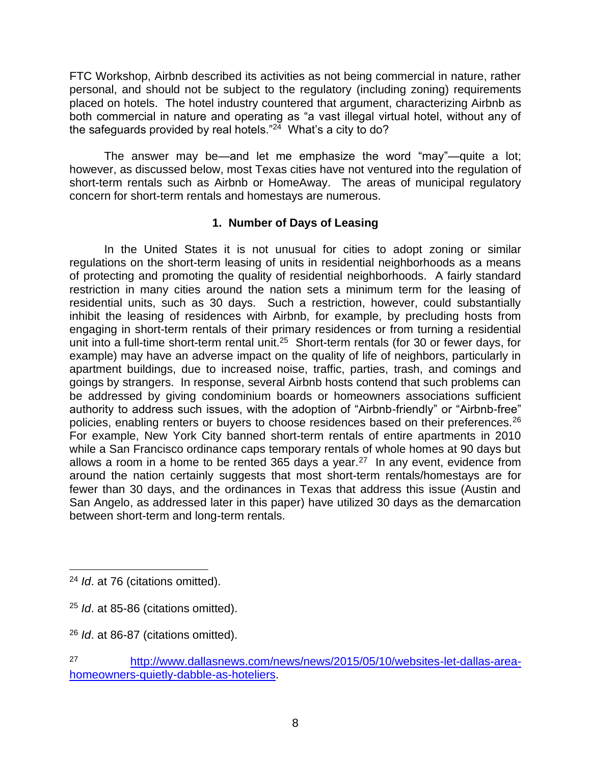FTC Workshop, Airbnb described its activities as not being commercial in nature, rather personal, and should not be subject to the regulatory (including zoning) requirements placed on hotels. The hotel industry countered that argument, characterizing Airbnb as both commercial in nature and operating as "a vast illegal virtual hotel, without any of the safeguards provided by real hotels."<sup>24</sup> What's a city to do?

The answer may be—and let me emphasize the word "may"—quite a lot; however, as discussed below, most Texas cities have not ventured into the regulation of short-term rentals such as Airbnb or HomeAway. The areas of municipal regulatory concern for short-term rentals and homestays are numerous.

# **1. Number of Days of Leasing**

In the United States it is not unusual for cities to adopt zoning or similar regulations on the short-term leasing of units in residential neighborhoods as a means of protecting and promoting the quality of residential neighborhoods. A fairly standard restriction in many cities around the nation sets a minimum term for the leasing of residential units, such as 30 days. Such a restriction, however, could substantially inhibit the leasing of residences with Airbnb, for example, by precluding hosts from engaging in short-term rentals of their primary residences or from turning a residential unit into a full-time short-term rental unit.<sup>25</sup> Short-term rentals (for 30 or fewer days, for example) may have an adverse impact on the quality of life of neighbors, particularly in apartment buildings, due to increased noise, traffic, parties, trash, and comings and goings by strangers. In response, several Airbnb hosts contend that such problems can be addressed by giving condominium boards or homeowners associations sufficient authority to address such issues, with the adoption of "Airbnb-friendly" or "Airbnb-free" policies, enabling renters or buyers to choose residences based on their preferences.<sup>26</sup> For example, New York City banned short-term rentals of entire apartments in 2010 while a San Francisco ordinance caps temporary rentals of whole homes at 90 days but allows a room in a home to be rented 365 days a year.<sup>27</sup> In any event, evidence from around the nation certainly suggests that most short-term rentals/homestays are for fewer than 30 days, and the ordinances in Texas that address this issue (Austin and San Angelo, as addressed later in this paper) have utilized 30 days as the demarcation between short-term and long-term rentals.

<sup>24</sup> *Id*. at 76 (citations omitted).

<sup>25</sup> *Id*. at 85-86 (citations omitted).

<sup>26</sup> *Id*. at 86-87 (citations omitted).

<sup>27</sup> [http://www.dallasnews.com/news/news/2015/05/10/websites-let-dallas-area](http://www.dallasnews.com/news/news/2015/05/10/websites-let-dallas-area-homeowners-quietly-dabble-as-hoteliers)[homeowners-quietly-dabble-as-hoteliers.](http://www.dallasnews.com/news/news/2015/05/10/websites-let-dallas-area-homeowners-quietly-dabble-as-hoteliers)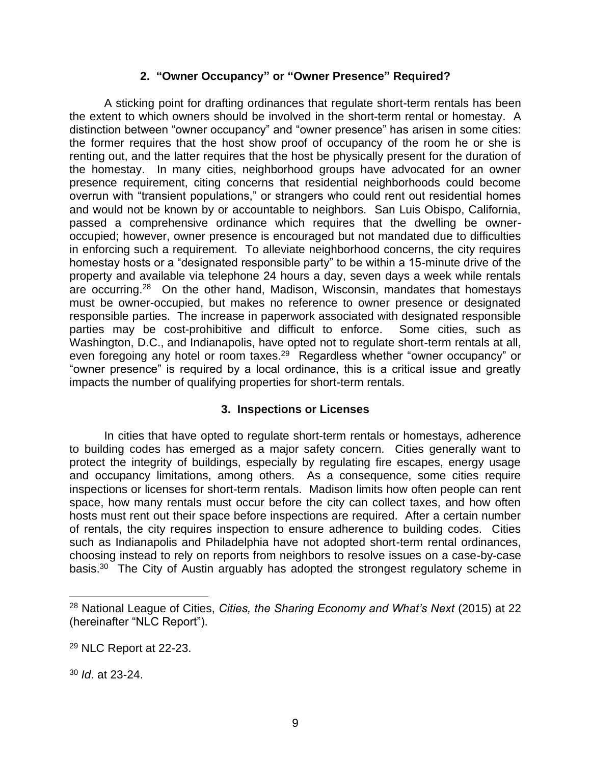# **2. "Owner Occupancy" or "Owner Presence" Required?**

 A sticking point for drafting ordinances that regulate short-term rentals has been the extent to which owners should be involved in the short-term rental or homestay. A distinction between "owner occupancy" and "owner presence" has arisen in some cities: the former requires that the host show proof of occupancy of the room he or she is renting out, and the latter requires that the host be physically present for the duration of the homestay. In many cities, neighborhood groups have advocated for an owner presence requirement, citing concerns that residential neighborhoods could become overrun with "transient populations," or strangers who could rent out residential homes and would not be known by or accountable to neighbors. San Luis Obispo, California, passed a comprehensive ordinance which requires that the dwelling be owneroccupied; however, owner presence is encouraged but not mandated due to difficulties in enforcing such a requirement. To alleviate neighborhood concerns, the city requires homestay hosts or a "designated responsible party" to be within a 15-minute drive of the property and available via telephone 24 hours a day, seven days a week while rentals are occurring.<sup>28</sup> On the other hand, Madison, Wisconsin, mandates that homestays must be owner-occupied, but makes no reference to owner presence or designated responsible parties. The increase in paperwork associated with designated responsible parties may be cost-prohibitive and difficult to enforce. Some cities, such as Washington, D.C., and Indianapolis, have opted not to regulate short-term rentals at all, even foregoing any hotel or room taxes.<sup>29</sup> Regardless whether "owner occupancy" or "owner presence" is required by a local ordinance, this is a critical issue and greatly impacts the number of qualifying properties for short-term rentals.

# **3. Inspections or Licenses**

In cities that have opted to regulate short-term rentals or homestays, adherence to building codes has emerged as a major safety concern. Cities generally want to protect the integrity of buildings, especially by regulating fire escapes, energy usage and occupancy limitations, among others. As a consequence, some cities require inspections or licenses for short-term rentals. Madison limits how often people can rent space, how many rentals must occur before the city can collect taxes, and how often hosts must rent out their space before inspections are required. After a certain number of rentals, the city requires inspection to ensure adherence to building codes. Cities such as Indianapolis and Philadelphia have not adopted short-term rental ordinances, choosing instead to rely on reports from neighbors to resolve issues on a case-by-case basis.<sup>30</sup> The City of Austin arguably has adopted the strongest regulatory scheme in

<sup>30</sup> *Id*. at 23-24.

<sup>28</sup> National League of Cities, *Cities, the Sharing Economy and What's Next* (2015) at 22 (hereinafter "NLC Report").

<sup>29</sup> NLC Report at 22-23.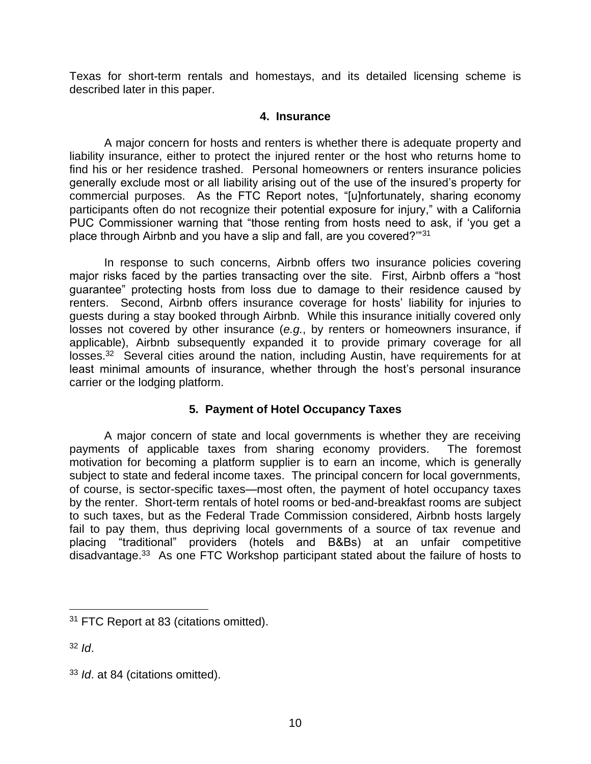Texas for short-term rentals and homestays, and its detailed licensing scheme is described later in this paper.

#### **4. Insurance**

A major concern for hosts and renters is whether there is adequate property and liability insurance, either to protect the injured renter or the host who returns home to find his or her residence trashed. Personal homeowners or renters insurance policies generally exclude most or all liability arising out of the use of the insured's property for commercial purposes. As the FTC Report notes, "[u]nfortunately, sharing economy participants often do not recognize their potential exposure for injury," with a California PUC Commissioner warning that "those renting from hosts need to ask, if 'you get a place through Airbnb and you have a slip and fall, are you covered?'"<sup>31</sup>

In response to such concerns, Airbnb offers two insurance policies covering major risks faced by the parties transacting over the site. First, Airbnb offers a "host guarantee" protecting hosts from loss due to damage to their residence caused by renters. Second, Airbnb offers insurance coverage for hosts' liability for injuries to guests during a stay booked through Airbnb. While this insurance initially covered only losses not covered by other insurance (*e.g.*, by renters or homeowners insurance, if applicable), Airbnb subsequently expanded it to provide primary coverage for all losses.<sup>32</sup> Several cities around the nation, including Austin, have requirements for at least minimal amounts of insurance, whether through the host's personal insurance carrier or the lodging platform.

# **5. Payment of Hotel Occupancy Taxes**

A major concern of state and local governments is whether they are receiving payments of applicable taxes from sharing economy providers. The foremost motivation for becoming a platform supplier is to earn an income, which is generally subject to state and federal income taxes. The principal concern for local governments, of course, is sector-specific taxes—most often, the payment of hotel occupancy taxes by the renter. Short-term rentals of hotel rooms or bed-and-breakfast rooms are subject to such taxes, but as the Federal Trade Commission considered, Airbnb hosts largely fail to pay them, thus depriving local governments of a source of tax revenue and placing "traditional" providers (hotels and B&Bs) at an unfair competitive disadvantage.<sup>33</sup> As one FTC Workshop participant stated about the failure of hosts to

<sup>32</sup> *Id*.

<sup>&</sup>lt;sup>31</sup> FTC Report at 83 (citations omitted).

<sup>33</sup> *Id*. at 84 (citations omitted).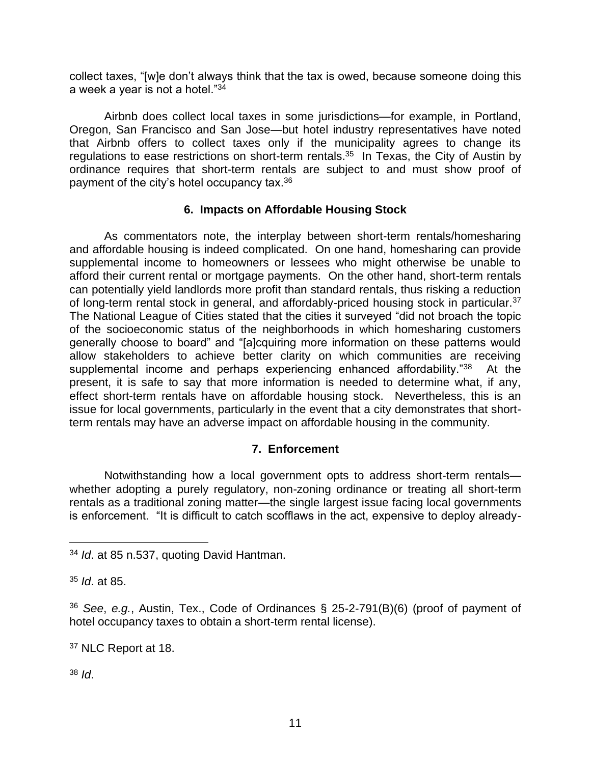collect taxes, "[w]e don't always think that the tax is owed, because someone doing this a week a year is not a hotel."<sup>34</sup>

Airbnb does collect local taxes in some jurisdictions—for example, in Portland, Oregon, San Francisco and San Jose—but hotel industry representatives have noted that Airbnb offers to collect taxes only if the municipality agrees to change its regulations to ease restrictions on short-term rentals.<sup>35</sup> In Texas, the City of Austin by ordinance requires that short-term rentals are subject to and must show proof of payment of the city's hotel occupancy tax.<sup>36</sup>

# **6. Impacts on Affordable Housing Stock**

As commentators note, the interplay between short-term rentals/homesharing and affordable housing is indeed complicated. On one hand, homesharing can provide supplemental income to homeowners or lessees who might otherwise be unable to afford their current rental or mortgage payments. On the other hand, short-term rentals can potentially yield landlords more profit than standard rentals, thus risking a reduction of long-term rental stock in general, and affordably-priced housing stock in particular.<sup>37</sup> The National League of Cities stated that the cities it surveyed "did not broach the topic of the socioeconomic status of the neighborhoods in which homesharing customers generally choose to board" and "[a]cquiring more information on these patterns would allow stakeholders to achieve better clarity on which communities are receiving supplemental income and perhaps experiencing enhanced affordability."<sup>38</sup> At the present, it is safe to say that more information is needed to determine what, if any, effect short-term rentals have on affordable housing stock. Nevertheless, this is an issue for local governments, particularly in the event that a city demonstrates that shortterm rentals may have an adverse impact on affordable housing in the community.

# **7. Enforcement**

Notwithstanding how a local government opts to address short-term rentals whether adopting a purely regulatory, non-zoning ordinance or treating all short-term rentals as a traditional zoning matter—the single largest issue facing local governments is enforcement. "It is difficult to catch scofflaws in the act, expensive to deploy already-

<sup>35</sup> *Id*. at 85.

<sup>38</sup> *Id*.

<sup>34</sup> *Id*. at 85 n.537, quoting David Hantman.

<sup>36</sup> *See*, *e.g.*, Austin, Tex., Code of Ordinances § 25-2-791(B)(6) (proof of payment of hotel occupancy taxes to obtain a short-term rental license).

<sup>37</sup> NLC Report at 18.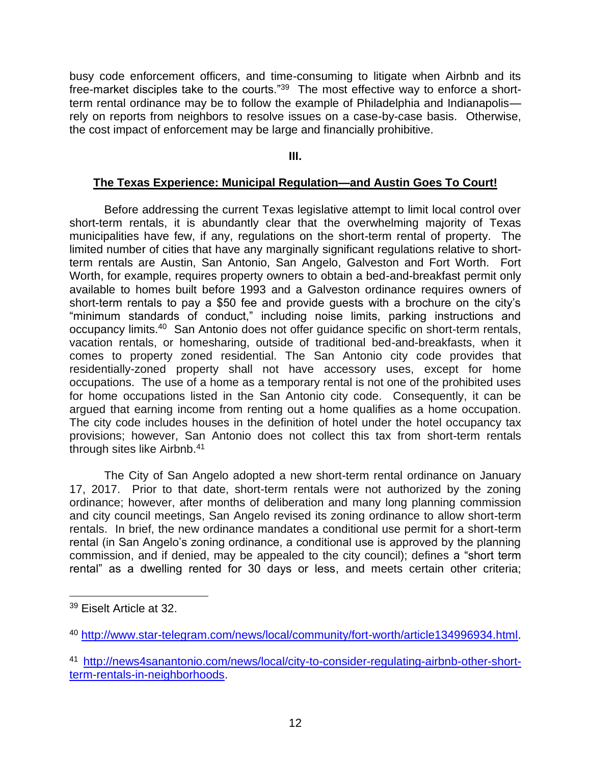busy code enforcement officers, and time-consuming to litigate when Airbnb and its free-market disciples take to the courts."<sup>39</sup> The most effective way to enforce a shortterm rental ordinance may be to follow the example of Philadelphia and Indianapolis rely on reports from neighbors to resolve issues on a case-by-case basis. Otherwise, the cost impact of enforcement may be large and financially prohibitive.

#### **III.**

#### **The Texas Experience: Municipal Regulation—and Austin Goes To Court!**

Before addressing the current Texas legislative attempt to limit local control over short-term rentals, it is abundantly clear that the overwhelming majority of Texas municipalities have few, if any, regulations on the short-term rental of property. The limited number of cities that have any marginally significant regulations relative to shortterm rentals are Austin, San Antonio, San Angelo, Galveston and Fort Worth. Fort Worth, for example, requires property owners to obtain a bed-and-breakfast permit only available to homes built before 1993 and a Galveston ordinance requires owners of short-term rentals to pay a \$50 fee and provide guests with a brochure on the city's "minimum standards of conduct," including noise limits, parking instructions and occupancy limits.<sup>40</sup> San Antonio does not offer guidance specific on short-term rentals, vacation rentals, or homesharing, outside of traditional bed-and-breakfasts, when it comes to property zoned residential. The San Antonio city code provides that residentially-zoned property shall not have accessory uses, except for home occupations. The use of a home as a temporary rental is not one of the prohibited uses for home occupations listed in the San Antonio city code. Consequently, it can be argued that earning income from renting out a home qualifies as a home occupation. The city code includes houses in the definition of hotel under the hotel occupancy tax provisions; however, San Antonio does not collect this tax from short-term rentals through sites like Airbnb.<sup>41</sup>

The City of San Angelo adopted a new short-term rental ordinance on January 17, 2017. Prior to that date, short-term rentals were not authorized by the zoning ordinance; however, after months of deliberation and many long planning commission and city council meetings, San Angelo revised its zoning ordinance to allow short-term rentals. In brief, the new ordinance mandates a conditional use permit for a short-term rental (in San Angelo's zoning ordinance, a conditional use is approved by the planning commission, and if denied, may be appealed to the city council); defines a "short term rental" as a dwelling rented for 30 days or less, and meets certain other criteria;

<sup>39</sup> Eiselt Article at 32.

<sup>40</sup> [http://www.star-telegram.com/news/local/community/fort-worth/article134996934.html.](http://www.star-telegram.com/news/local/community/fort-worth/article134996934.html)

<sup>41</sup> [http://news4sanantonio.com/news/local/city-to-consider-regulating-airbnb-other-short](http://news4sanantonio.com/news/local/city-to-consider-regulating-airbnb-other-short-term-rentals-in-neighborhoods)[term-rentals-in-neighborhoods.](http://news4sanantonio.com/news/local/city-to-consider-regulating-airbnb-other-short-term-rentals-in-neighborhoods)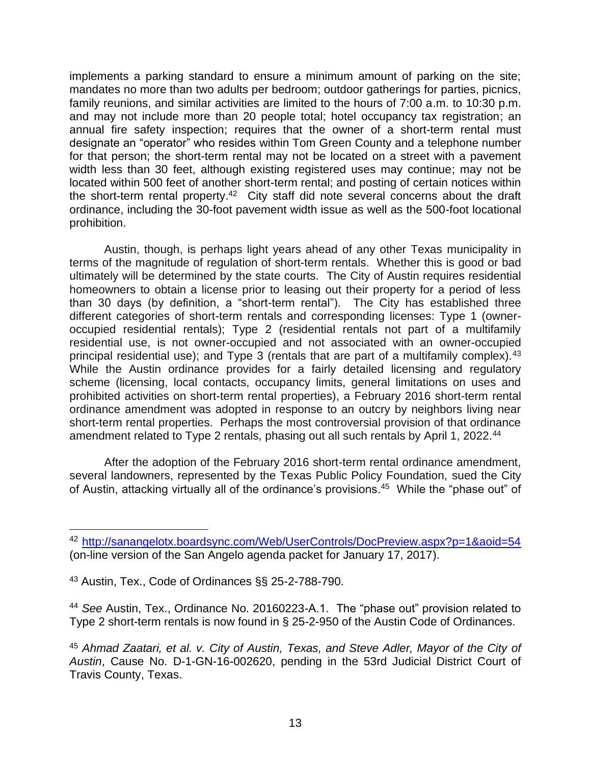implements a parking standard to ensure a minimum amount of parking on the site; mandates no more than two adults per bedroom; outdoor gatherings for parties, picnics, family reunions, and similar activities are limited to the hours of 7:00 a.m. to 10:30 p.m. and may not include more than 20 people total; hotel occupancy tax registration; an annual fire safety inspection; requires that the owner of a short-term rental must designate an "operator" who resides within Tom Green County and a telephone number for that person; the short-term rental may not be located on a street with a pavement width less than 30 feet, although existing registered uses may continue; may not be located within 500 feet of another short-term rental; and posting of certain notices within the short-term rental property.<sup>42</sup> City staff did note several concerns about the draft ordinance, including the 30-foot pavement width issue as well as the 500-foot locational prohibition.

Austin, though, is perhaps light years ahead of any other Texas municipality in terms of the magnitude of regulation of short-term rentals. Whether this is good or bad ultimately will be determined by the state courts. The City of Austin requires residential homeowners to obtain a license prior to leasing out their property for a period of less than 30 days (by definition, a "short-term rental"). The City has established three different categories of short-term rentals and corresponding licenses: Type 1 (owneroccupied residential rentals); Type 2 (residential rentals not part of a multifamily residential use, is not owner-occupied and not associated with an owner-occupied principal residential use); and Type 3 (rentals that are part of a multifamily complex).<sup>43</sup> While the Austin ordinance provides for a fairly detailed licensing and regulatory scheme (licensing, local contacts, occupancy limits, general limitations on uses and prohibited activities on short-term rental properties), a February 2016 short-term rental ordinance amendment was adopted in response to an outcry by neighbors living near short-term rental properties. Perhaps the most controversial provision of that ordinance amendment related to Type 2 rentals, phasing out all such rentals by April 1, 2022.<sup>44</sup>

After the adoption of the February 2016 short-term rental ordinance amendment, several landowners, represented by the Texas Public Policy Foundation, sued the City of Austin, attacking virtually all of the ordinance's provisions.<sup>45</sup> While the "phase out" of

<sup>42</sup> <http://sanangelotx.boardsync.com/Web/UserControls/DocPreview.aspx?p=1&aoid=54> (on-line version of the San Angelo agenda packet for January 17, 2017).

<sup>43</sup> Austin, Tex., Code of Ordinances §§ 25-2-788-790.

<sup>44</sup> *See* Austin, Tex., Ordinance No. 20160223-A.1. The "phase out" provision related to Type 2 short-term rentals is now found in § 25-2-950 of the Austin Code of Ordinances.

<sup>45</sup> *Ahmad Zaatari, et al. v. City of Austin, Texas, and Steve Adler, Mayor of the City of Austin*, Cause No. D-1-GN-16-002620, pending in the 53rd Judicial District Court of Travis County, Texas.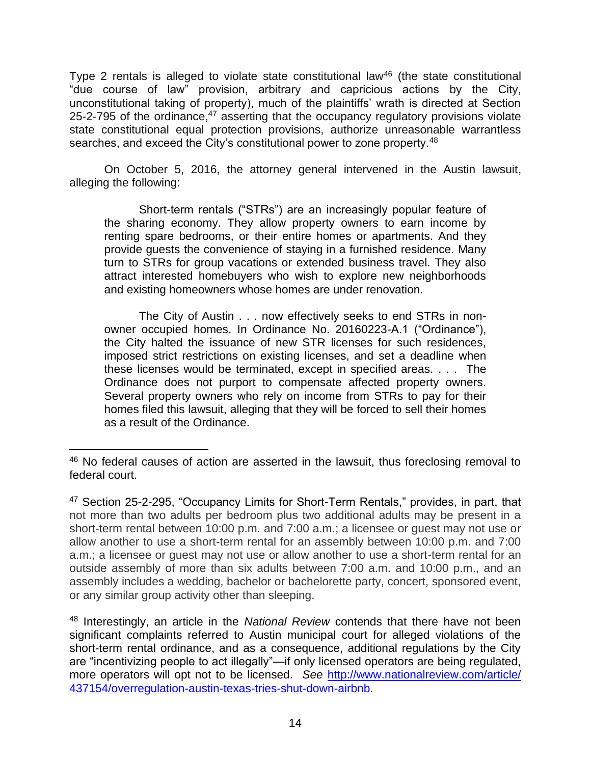Type 2 rentals is alleged to violate state constitutional law<sup>46</sup> (the state constitutional "due course of law" provision, arbitrary and capricious actions by the City, unconstitutional taking of property), much of the plaintiffs' wrath is directed at Section 25-2-795 of the ordinance, $47$  asserting that the occupancy regulatory provisions violate state constitutional equal protection provisions, authorize unreasonable warrantless searches, and exceed the City's constitutional power to zone property.<sup>48</sup>

On October 5, 2016, the attorney general intervened in the Austin lawsuit, alleging the following:

Short-term rentals ("STRs") are an increasingly popular feature of the sharing economy. They allow property owners to earn income by renting spare bedrooms, or their entire homes or apartments. And they provide guests the convenience of staying in a furnished residence. Many turn to STRs for group vacations or extended business travel. They also attract interested homebuyers who wish to explore new neighborhoods and existing homeowners whose homes are under renovation.

The City of Austin . . . now effectively seeks to end STRs in nonowner occupied homes. In Ordinance No. 20160223-A.1 ("Ordinance"), the City halted the issuance of new STR licenses for such residences, imposed strict restrictions on existing licenses, and set a deadline when these licenses would be terminated, except in specified areas. . . . The Ordinance does not purport to compensate affected property owners. Several property owners who rely on income from STRs to pay for their homes filed this lawsuit, alleging that they will be forced to sell their homes as a result of the Ordinance.

<sup>&</sup>lt;sup>46</sup> No federal causes of action are asserted in the lawsuit, thus foreclosing removal to federal court.

<sup>47</sup> Section 25-2-295, "Occupancy Limits for Short-Term Rentals," provides, in part, that not more than two adults per bedroom plus two additional adults may be present in a short-term rental between 10:00 p.m. and 7:00 a.m.; a licensee or guest may not use or allow another to use a short-term rental for an assembly between 10:00 p.m. and 7:00 a.m.; a licensee or guest may not use or allow another to use a short-term rental for an outside assembly of more than six adults between 7:00 a.m. and 10:00 p.m., and an assembly includes a wedding, bachelor or bachelorette party, concert, sponsored event, or any similar group activity other than sleeping.

<sup>48</sup> Interestingly, an article in the *National Review* contends that there have not been significant complaints referred to Austin municipal court for alleged violations of the short-term rental ordinance, and as a consequence, additional regulations by the City are "incentivizing people to act illegally"—if only licensed operators are being regulated, more operators will opt not to be licensed. *See* [http://www.nationalreview.com/article/](http://www.nationalreview.com/article/%20437154/overregulation-austin-texas-tries-shut-down-airbnb)  [437154/overregulation-austin-texas-tries-shut-down-airbnb.](http://www.nationalreview.com/article/%20437154/overregulation-austin-texas-tries-shut-down-airbnb)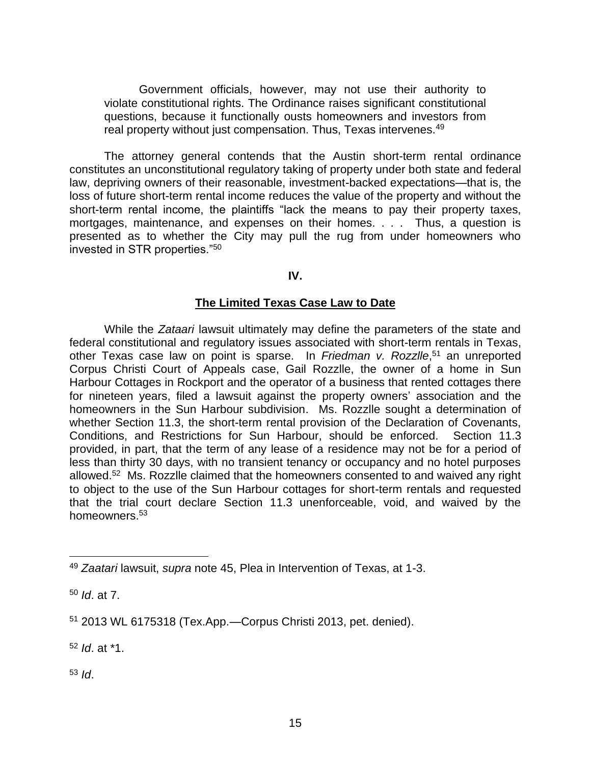Government officials, however, may not use their authority to violate constitutional rights. The Ordinance raises significant constitutional questions, because it functionally ousts homeowners and investors from real property without just compensation. Thus, Texas intervenes.<sup>49</sup>

The attorney general contends that the Austin short-term rental ordinance constitutes an unconstitutional regulatory taking of property under both state and federal law, depriving owners of their reasonable, investment-backed expectations—that is, the loss of future short-term rental income reduces the value of the property and without the short-term rental income, the plaintiffs "lack the means to pay their property taxes, mortgages, maintenance, and expenses on their homes. . . . Thus, a question is presented as to whether the City may pull the rug from under homeowners who invested in STR properties."<sup>50</sup>

**IV.**

#### **The Limited Texas Case Law to Date**

While the *Zataari* lawsuit ultimately may define the parameters of the state and federal constitutional and regulatory issues associated with short-term rentals in Texas, other Texas case law on point is sparse. In Friedman v. Rozzlle,<sup>51</sup> an unreported Corpus Christi Court of Appeals case, Gail Rozzlle, the owner of a home in Sun Harbour Cottages in Rockport and the operator of a business that rented cottages there for nineteen years, filed a lawsuit against the property owners' association and the homeowners in the Sun Harbour subdivision. Ms. Rozzlle sought a determination of whether Section 11.3, the short-term rental provision of the Declaration of Covenants, Conditions, and Restrictions for Sun Harbour, should be enforced. Section 11.3 provided, in part, that the term of any lease of a residence may not be for a period of less than thirty 30 days, with no transient tenancy or occupancy and no hotel purposes allowed.<sup>52</sup> Ms. Rozzlle claimed that the homeowners consented to and waived any right to object to the use of the Sun Harbour cottages for short-term rentals and requested that the trial court declare Section 11.3 unenforceable, void, and waived by the homeowners.<sup>53</sup>

<sup>52</sup> *Id*. at \*1.

<sup>53</sup> *Id*.

<sup>49</sup> *Zaatari* lawsuit, *supra* note 45, Plea in Intervention of Texas, at 1-3.

<sup>50</sup> *Id*. at 7.

<sup>51</sup> 2013 WL 6175318 (Tex.App.—Corpus Christi 2013, pet. denied).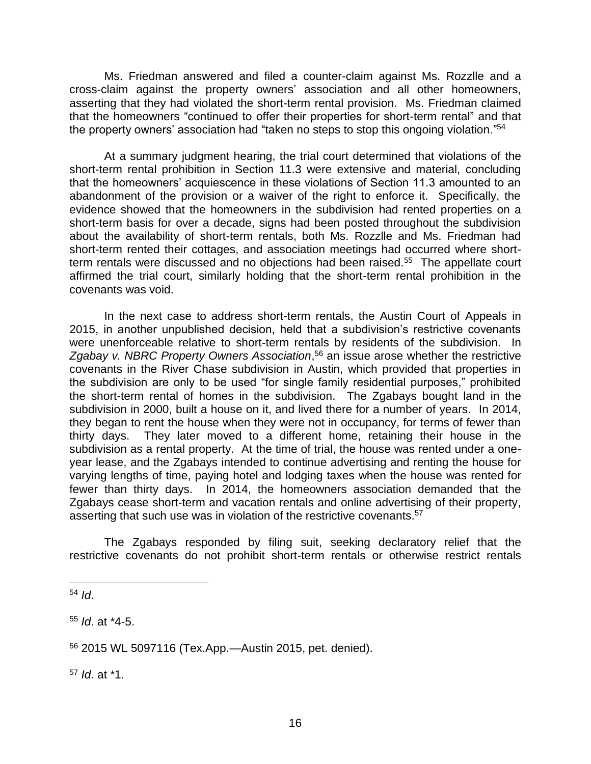Ms. Friedman answered and filed a counter-claim against Ms. Rozzlle and a cross-claim against the property owners' association and all other homeowners, asserting that they had violated the short-term rental provision. Ms. Friedman claimed that the homeowners "continued to offer their properties for short-term rental" and that the property owners' association had "taken no steps to stop this ongoing violation." 54

At a summary judgment hearing, the trial court determined that violations of the short-term rental prohibition in Section 11.3 were extensive and material, concluding that the homeowners' acquiescence in these violations of Section 11.3 amounted to an abandonment of the provision or a waiver of the right to enforce it. Specifically, the evidence showed that the homeowners in the subdivision had rented properties on a short-term basis for over a decade, signs had been posted throughout the subdivision about the availability of short-term rentals, both Ms. Rozzlle and Ms. Friedman had short-term rented their cottages, and association meetings had occurred where shortterm rentals were discussed and no objections had been raised.<sup>55</sup> The appellate court affirmed the trial court, similarly holding that the short-term rental prohibition in the covenants was void.

In the next case to address short-term rentals, the Austin Court of Appeals in 2015, in another unpublished decision, held that a subdivision's restrictive covenants were unenforceable relative to short-term rentals by residents of the subdivision. In Zgabay v. NBRC Property Owners Association,<sup>56</sup> an issue arose whether the restrictive covenants in the River Chase subdivision in Austin, which provided that properties in the subdivision are only to be used "for single family residential purposes," prohibited the short-term rental of homes in the subdivision. The Zgabays bought land in the subdivision in 2000, built a house on it, and lived there for a number of years. In 2014, they began to rent the house when they were not in occupancy, for terms of fewer than thirty days. They later moved to a different home, retaining their house in the subdivision as a rental property. At the time of trial, the house was rented under a oneyear lease, and the Zgabays intended to continue advertising and renting the house for varying lengths of time, paying hotel and lodging taxes when the house was rented for fewer than thirty days. In 2014, the homeowners association demanded that the Zgabays cease short-term and vacation rentals and online advertising of their property, asserting that such use was in violation of the restrictive covenants.<sup>57</sup>

The Zgabays responded by filing suit, seeking declaratory relief that the restrictive covenants do not prohibit short-term rentals or otherwise restrict rentals

<sup>54</sup> *Id*.

<sup>55</sup> *Id*. at \*4-5.

<sup>56</sup> 2015 WL 5097116 (Tex.App.—Austin 2015, pet. denied).

<sup>57</sup> *Id*. at \*1.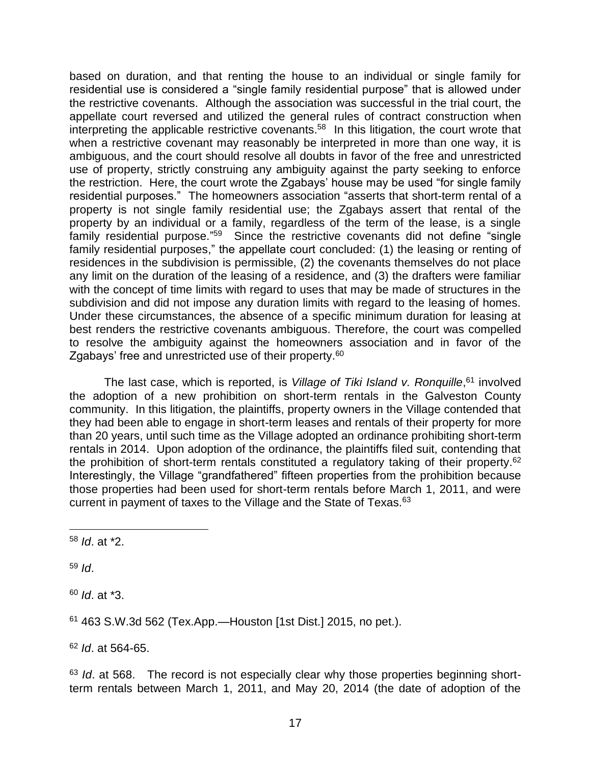based on duration, and that renting the house to an individual or single family for residential use is considered a "single family residential purpose" that is allowed under the restrictive covenants. Although the association was successful in the trial court, the appellate court reversed and utilized the general rules of contract construction when interpreting the applicable restrictive covenants.<sup>58</sup> In this litigation, the court wrote that when a restrictive covenant may reasonably be interpreted in more than one wav, it is ambiguous, and the court should resolve all doubts in favor of the free and unrestricted use of property, strictly construing any ambiguity against the party seeking to enforce the restriction. Here, the court wrote the Zgabays' house may be used "for single family residential purposes." The homeowners association "asserts that short-term rental of a property is not single family residential use; the Zgabays assert that rental of the property by an individual or a family, regardless of the term of the lease, is a single family residential purpose."<sup>59</sup> Since the restrictive covenants did not define "single family residential purposes," the appellate court concluded: (1) the leasing or renting of residences in the subdivision is permissible, (2) the covenants themselves do not place any limit on the duration of the leasing of a residence, and (3) the drafters were familiar with the concept of time limits with regard to uses that may be made of structures in the subdivision and did not impose any duration limits with regard to the leasing of homes. Under these circumstances, the absence of a specific minimum duration for leasing at best renders the restrictive covenants ambiguous. Therefore, the court was compelled to resolve the ambiguity against the homeowners association and in favor of the Zgabays' free and unrestricted use of their property.<sup>60</sup>

The last case, which is reported, is *Village of Tiki Island v. Ronquille*, <sup>61</sup> involved the adoption of a new prohibition on short-term rentals in the Galveston County community. In this litigation, the plaintiffs, property owners in the Village contended that they had been able to engage in short-term leases and rentals of their property for more than 20 years, until such time as the Village adopted an ordinance prohibiting short-term rentals in 2014. Upon adoption of the ordinance, the plaintiffs filed suit, contending that the prohibition of short-term rentals constituted a regulatory taking of their property.<sup>62</sup> Interestingly, the Village "grandfathered" fifteen properties from the prohibition because those properties had been used for short-term rentals before March 1, 2011, and were current in payment of taxes to the Village and the State of Texas.<sup>63</sup>

<sup>59</sup> *Id*.

<sup>60</sup> *Id*. at \*3.

<sup>61</sup> 463 S.W.3d 562 (Tex.App.—Houston [1st Dist.] 2015, no pet.).

<sup>62</sup> *Id*. at 564-65.

<sup>63</sup> *Id.* at 568. The record is not especially clear why those properties beginning shortterm rentals between March 1, 2011, and May 20, 2014 (the date of adoption of the

<sup>58</sup> *Id*. at \*2.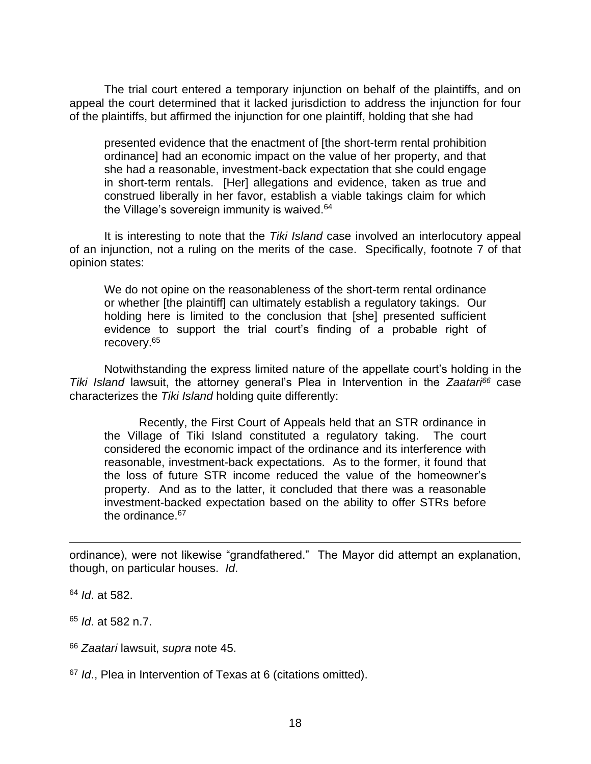The trial court entered a temporary injunction on behalf of the plaintiffs, and on appeal the court determined that it lacked jurisdiction to address the injunction for four of the plaintiffs, but affirmed the injunction for one plaintiff, holding that she had

presented evidence that the enactment of [the short-term rental prohibition ordinance] had an economic impact on the value of her property, and that she had a reasonable, investment-back expectation that she could engage in short-term rentals. [Her] allegations and evidence, taken as true and construed liberally in her favor, establish a viable takings claim for which the Village's sovereign immunity is waived. $64$ 

It is interesting to note that the *Tiki Island* case involved an interlocutory appeal of an injunction, not a ruling on the merits of the case. Specifically, footnote 7 of that opinion states:

We do not opine on the reasonableness of the short-term rental ordinance or whether [the plaintiff] can ultimately establish a regulatory takings. Our holding here is limited to the conclusion that [she] presented sufficient evidence to support the trial court's finding of a probable right of recovery.<sup>65</sup>

Notwithstanding the express limited nature of the appellate court's holding in the *Tiki Island* lawsuit, the attorney general's Plea in Intervention in the *Zaatari<sup>66</sup>* case characterizes the *Tiki Island* holding quite differently:

Recently, the First Court of Appeals held that an STR ordinance in the Village of Tiki Island constituted a regulatory taking. The court considered the economic impact of the ordinance and its interference with reasonable, investment-back expectations. As to the former, it found that the loss of future STR income reduced the value of the homeowner's property. And as to the latter, it concluded that there was a reasonable investment-backed expectation based on the ability to offer STRs before the ordinance.<sup>67</sup>

ordinance), were not likewise "grandfathered." The Mayor did attempt an explanation, though, on particular houses. *Id*.

<sup>64</sup> *Id*. at 582.

<sup>65</sup> *Id*. at 582 n.7.

<sup>66</sup> *Zaatari* lawsuit, *supra* note 45.

<sup>67</sup> *Id*., Plea in Intervention of Texas at 6 (citations omitted).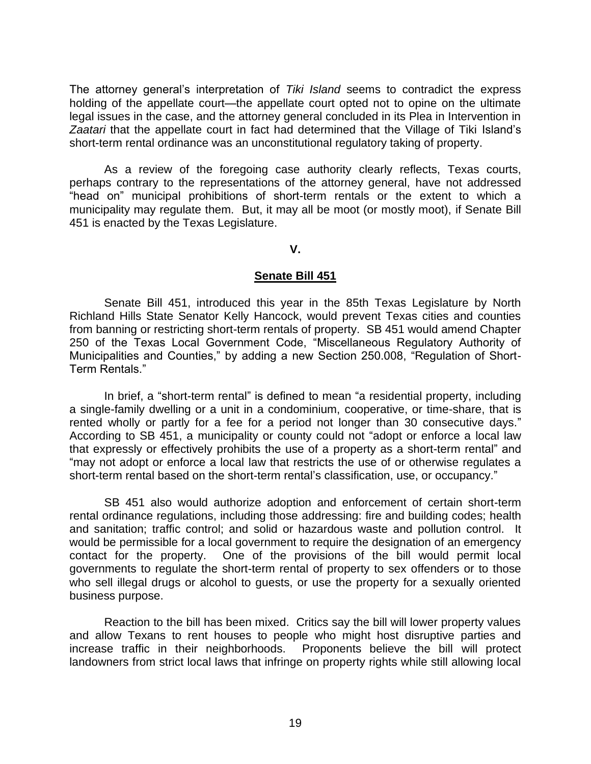The attorney general's interpretation of *Tiki Island* seems to contradict the express holding of the appellate court—the appellate court opted not to opine on the ultimate legal issues in the case, and the attorney general concluded in its Plea in Intervention in *Zaatari* that the appellate court in fact had determined that the Village of Tiki Island's short-term rental ordinance was an unconstitutional regulatory taking of property.

As a review of the foregoing case authority clearly reflects, Texas courts, perhaps contrary to the representations of the attorney general, have not addressed "head on" municipal prohibitions of short-term rentals or the extent to which a municipality may regulate them. But, it may all be moot (or mostly moot), if Senate Bill 451 is enacted by the Texas Legislature.

#### **V.**

#### **Senate Bill 451**

Senate Bill 451, introduced this year in the 85th Texas Legislature by North Richland Hills State Senator Kelly Hancock, would prevent Texas cities and counties from banning or restricting short-term rentals of property. SB 451 would amend Chapter 250 of the Texas Local Government Code, "Miscellaneous Regulatory Authority of Municipalities and Counties," by adding a new Section 250.008, "Regulation of Short-Term Rentals."

In brief, a "short-term rental" is defined to mean "a residential property, including a single-family dwelling or a unit in a condominium, cooperative, or time-share, that is rented wholly or partly for a fee for a period not longer than 30 consecutive days." According to SB 451, a municipality or county could not "adopt or enforce a local law that expressly or effectively prohibits the use of a property as a short-term rental" and "may not adopt or enforce a local law that restricts the use of or otherwise regulates a short-term rental based on the short-term rental's classification, use, or occupancy."

SB 451 also would authorize adoption and enforcement of certain short-term rental ordinance regulations, including those addressing: fire and building codes; health and sanitation; traffic control; and solid or hazardous waste and pollution control. It would be permissible for a local government to require the designation of an emergency contact for the property. One of the provisions of the bill would permit local governments to regulate the short-term rental of property to sex offenders or to those who sell illegal drugs or alcohol to guests, or use the property for a sexually oriented business purpose.

Reaction to the bill has been mixed. Critics say the bill will lower property values and allow Texans to rent houses to people who might host disruptive parties and increase traffic in their neighborhoods. Proponents believe the bill will protect landowners from strict local laws that infringe on property rights while still allowing local